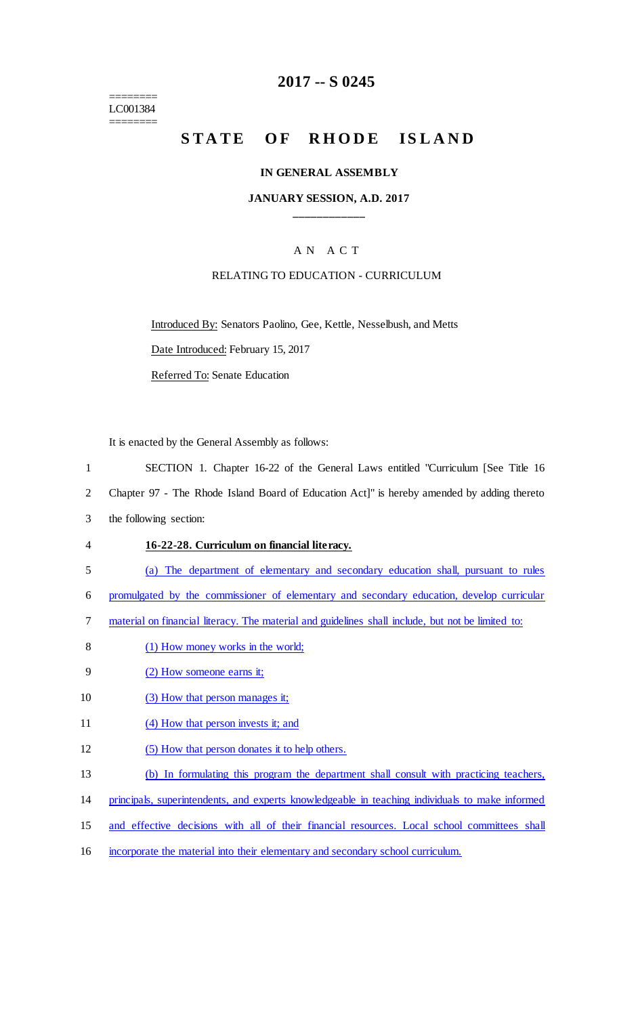======== LC001384 ========

## **2017 -- S 0245**

# STATE OF RHODE ISLAND

#### **IN GENERAL ASSEMBLY**

### **JANUARY SESSION, A.D. 2017 \_\_\_\_\_\_\_\_\_\_\_\_**

## A N A C T

### RELATING TO EDUCATION - CURRICULUM

Introduced By: Senators Paolino, Gee, Kettle, Nesselbush, and Metts

Date Introduced: February 15, 2017

Referred To: Senate Education

It is enacted by the General Assembly as follows:

- 1 SECTION 1. Chapter 16-22 of the General Laws entitled "Curriculum [See Title 16
- 2 Chapter 97 The Rhode Island Board of Education Act]" is hereby amended by adding thereto
- 3 the following section:
- 4 **16-22-28. Curriculum on financial literacy.**
- 5 (a) The department of elementary and secondary education shall, pursuant to rules
- 6 promulgated by the commissioner of elementary and secondary education, develop curricular
- 7 material on financial literacy. The material and guidelines shall include, but not be limited to:
- 8 (1) How money works in the world;
- 9 (2) How someone earns it;
- 10 (3) How that person manages it;
- 11 (4) How that person invests it; and
- 12 (5) How that person donates it to help others.
- 13 (b) In formulating this program the department shall consult with practicing teachers,
- 14 principals, superintendents, and experts knowledgeable in teaching individuals to make informed
- 15 and effective decisions with all of their financial resources. Local school committees shall
- 16 incorporate the material into their elementary and secondary school curriculum.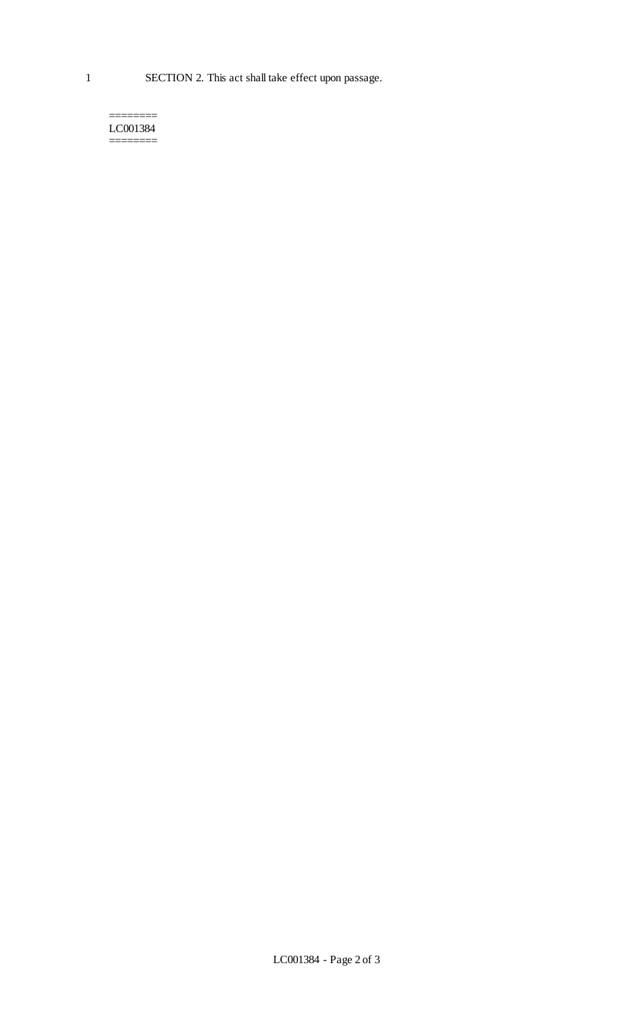======== LC001384 ========